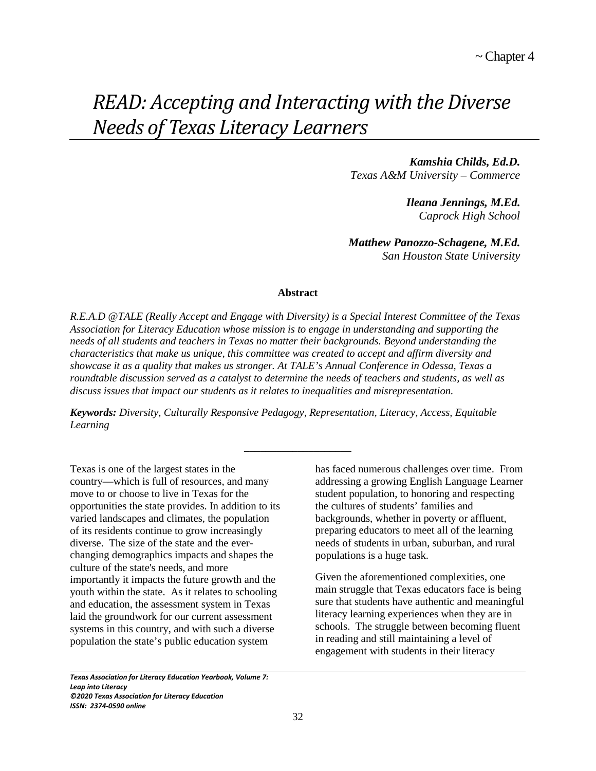# *READ: Accepting and Interacting with the Diverse Needs of Texas Literacy Learners*

*Kamshia Childs, Ed.D. Texas A&M University – Commerce*

> *Ileana Jennings, M.Ed. Caprock High School*

*Matthew Panozzo-Schagene, M.Ed. San Houston State University*

### **Abstract**

*R.E.A.D @TALE (Really Accept and Engage with Diversity) is a Special Interest Committee of the Texas Association for Literacy Education whose mission is to engage in understanding and supporting the needs of all students and teachers in Texas no matter their backgrounds. Beyond understanding the characteristics that make us unique, this committee was created to accept and affirm diversity and showcase it as a quality that makes us stronger. At TALE's Annual Conference in Odessa, Texas a roundtable discussion served as a catalyst to determine the needs of teachers and students, as well as discuss issues that impact our students as it relates to inequalities and misrepresentation.*

*Keywords: Diversity, Culturally Responsive Pedagogy, Representation, Literacy, Access, Equitable Learning* 

**\_\_\_\_\_\_\_\_\_\_\_\_\_\_\_\_\_\_\_\_**

Texas is one of the largest states in the country—which is full of resources, and many move to or choose to live in Texas for the opportunities the state provides. In addition to its varied landscapes and climates, the population of its residents continue to grow increasingly diverse. The size of the state and the everchanging demographics impacts and shapes the culture of the state's needs, and more importantly it impacts the future growth and the youth within the state. As it relates to schooling and education, the assessment system in Texas laid the groundwork for our current assessment systems in this country, and with such a diverse population the state's public education system

has faced numerous challenges over time. From addressing a growing English Language Learner student population, to honoring and respecting the cultures of students' families and backgrounds, whether in poverty or affluent, preparing educators to meet all of the learning needs of students in urban, suburban, and rural populations is a huge task.

Given the aforementioned complexities, one main struggle that Texas educators face is being sure that students have authentic and meaningful literacy learning experiences when they are in schools. The struggle between becoming fluent in reading and still maintaining a level of engagement with students in their literacy

*Texas Association for Literacy Education Yearbook, Volume 7: Leap into Literacy ©2020 Texas Association for Literacy Education ISSN: 2374-0590 online*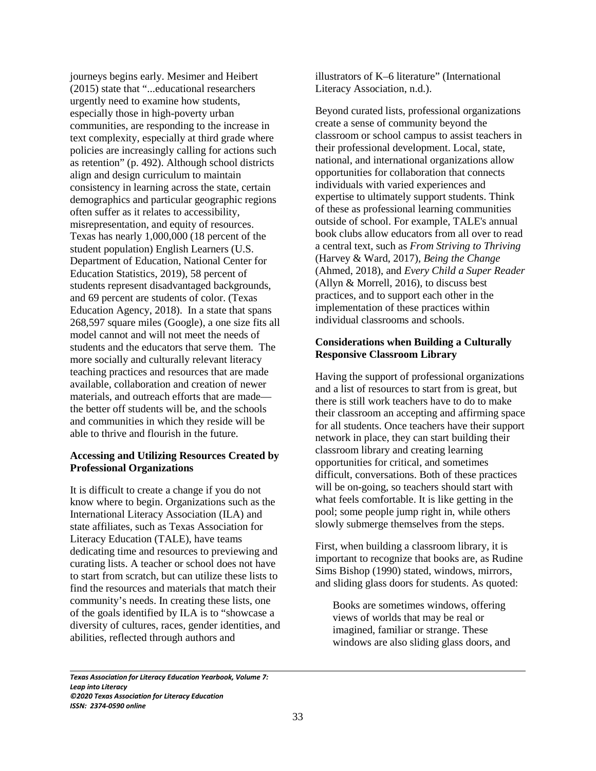journeys begins early. Mesimer and Heibert (2015) state that "...educational researchers urgently need to examine how students, especially those in high-poverty urban communities, are responding to the increase in text complexity, especially at third grade where policies are increasingly calling for actions such as retention" (p. 492). Although school districts align and design curriculum to maintain consistency in learning across the state, certain demographics and particular geographic regions often suffer as it relates to accessibility, misrepresentation, and equity of resources. Texas has nearly 1,000,000 (18 percent of the student population) English Learners (U.S. Department of Education, National Center for Education Statistics, 2019), 58 percent of students represent disadvantaged backgrounds, and 69 percent are students of color. (Texas Education Agency, 2018). In a state that spans 268,597 square miles (Google), a one size fits all model cannot and will not meet the needs of students and the educators that serve them. The more socially and culturally relevant literacy teaching practices and resources that are made available, collaboration and creation of newer materials, and outreach efforts that are made the better off students will be, and the schools and communities in which they reside will be able to thrive and flourish in the future.

# **Accessing and Utilizing Resources Created by Professional Organizations**

It is difficult to create a change if you do not know where to begin. Organizations such as the International Literacy Association (ILA) and state affiliates, such as Texas Association for Literacy Education (TALE), have teams dedicating time and resources to previewing and curating lists. A teacher or school does not have to start from scratch, but can utilize these lists to find the resources and materials that match their community's needs. In creating these lists, one of the goals identified by ILA is to "showcase a diversity of cultures, races, gender identities, and abilities, reflected through authors and

illustrators of K–6 literature" (International Literacy Association, n.d.).

Beyond curated lists, professional organizations create a sense of community beyond the classroom or school campus to assist teachers in their professional development. Local, state, national, and international organizations allow opportunities for collaboration that connects individuals with varied experiences and expertise to ultimately support students. Think of these as professional learning communities outside of school. For example, TALE's annual book clubs allow educators from all over to read a central text, such as *From Striving to Thriving* (Harvey & Ward, 2017), *Being the Change* (Ahmed, 2018), and *Every Child a Super Reader* (Allyn & Morrell, 2016), to discuss best practices, and to support each other in the implementation of these practices within individual classrooms and schools.

## **Considerations when Building a Culturally Responsive Classroom Library**

Having the support of professional organizations and a list of resources to start from is great, but there is still work teachers have to do to make their classroom an accepting and affirming space for all students. Once teachers have their support network in place, they can start building their classroom library and creating learning opportunities for critical, and sometimes difficult, conversations. Both of these practices will be on-going, so teachers should start with what feels comfortable. It is like getting in the pool; some people jump right in, while others slowly submerge themselves from the steps.

First, when building a classroom library, it is important to recognize that books are, as Rudine Sims Bishop (1990) stated, windows, mirrors, and sliding glass doors for students. As quoted:

Books are sometimes windows, offering views of worlds that may be real or imagined, familiar or strange. These windows are also sliding glass doors, and

*Texas Association for Literacy Education Yearbook, Volume 7: Leap into Literacy ©2020 Texas Association for Literacy Education ISSN: 2374-0590 online*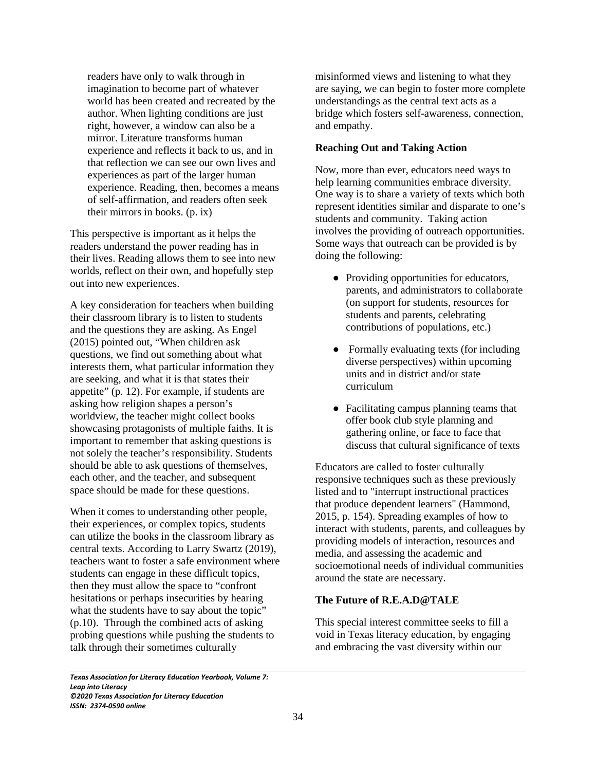readers have only to walk through in imagination to become part of whatever world has been created and recreated by the author. When lighting conditions are just right, however, a window can also be a mirror. Literature transforms human experience and reflects it back to us, and in that reflection we can see our own lives and experiences as part of the larger human experience. Reading, then, becomes a means of self-affirmation, and readers often seek their mirrors in books. (p. ix)

This perspective is important as it helps the readers understand the power reading has in their lives. Reading allows them to see into new worlds, reflect on their own, and hopefully step out into new experiences.

A key consideration for teachers when building their classroom library is to listen to students and the questions they are asking. As Engel (2015) pointed out, "When children ask questions, we find out something about what interests them, what particular information they are seeking, and what it is that states their appetite" (p. 12). For example, if students are asking how religion shapes a person's worldview, the teacher might collect books showcasing protagonists of multiple faiths. It is important to remember that asking questions is not solely the teacher's responsibility. Students should be able to ask questions of themselves, each other, and the teacher, and subsequent space should be made for these questions.

When it comes to understanding other people, their experiences, or complex topics, students can utilize the books in the classroom library as central texts. According to Larry Swartz (2019), teachers want to foster a safe environment where students can engage in these difficult topics, then they must allow the space to "confront hesitations or perhaps insecurities by hearing what the students have to say about the topic" (p.10). Through the combined acts of asking probing questions while pushing the students to talk through their sometimes culturally

misinformed views and listening to what they are saying, we can begin to foster more complete understandings as the central text acts as a bridge which fosters self-awareness, connection, and empathy.

## **Reaching Out and Taking Action**

Now, more than ever, educators need ways to help learning communities embrace diversity. One way is to share a variety of texts which both represent identities similar and disparate to one's students and community. Taking action involves the providing of outreach opportunities. Some ways that outreach can be provided is by doing the following:

- Providing opportunities for educators, parents, and administrators to collaborate (on support for students, resources for students and parents, celebrating contributions of populations, etc.)
- Formally evaluating texts (for including diverse perspectives) within upcoming units and in district and/or state curriculum
- Facilitating campus planning teams that offer book club style planning and gathering online, or face to face that discuss that cultural significance of texts

Educators are called to foster culturally responsive techniques such as these previously listed and to "interrupt instructional practices that produce dependent learners" (Hammond, 2015, p. 154). Spreading examples of how to interact with students, parents, and colleagues by providing models of interaction, resources and media, and assessing the academic and socioemotional needs of individual communities around the state are necessary.

## **The Future of R.E.A.D@TALE**

This special interest committee seeks to fill a void in Texas literacy education, by engaging and embracing the vast diversity within our

*Texas Association for Literacy Education Yearbook, Volume 7: Leap into Literacy ©2020 Texas Association for Literacy Education ISSN: 2374-0590 online*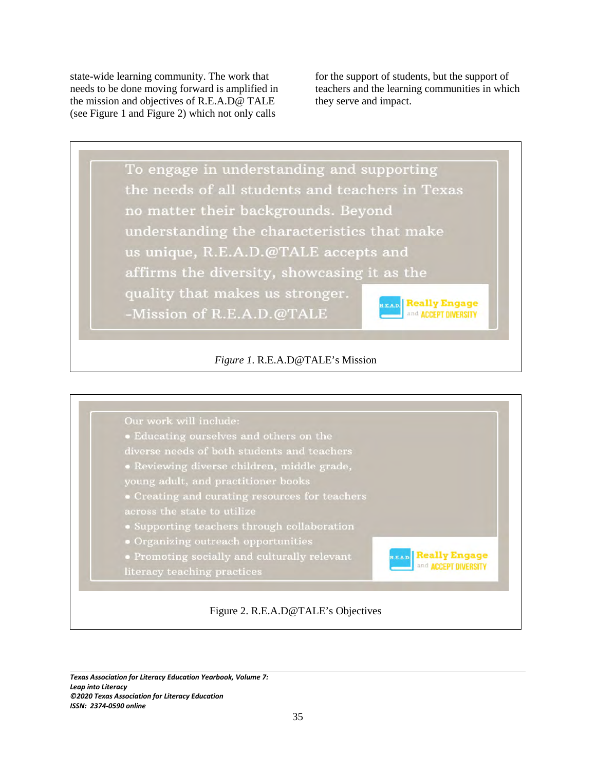state-wide learning community. The work that needs to be done moving forward is amplified in the mission and objectives of R.E.A.D@ TALE (see Figure 1 and Figure 2) which not only calls

for the support of students, but the support of teachers and the learning communities in which they serve and impact.





 $\overline{\phantom{0}}$ *Texas Association for Literacy Education Yearbook, Volume 7: Leap into Literacy ©2020 Texas Association for Literacy Education ISSN: 2374-0590 online*